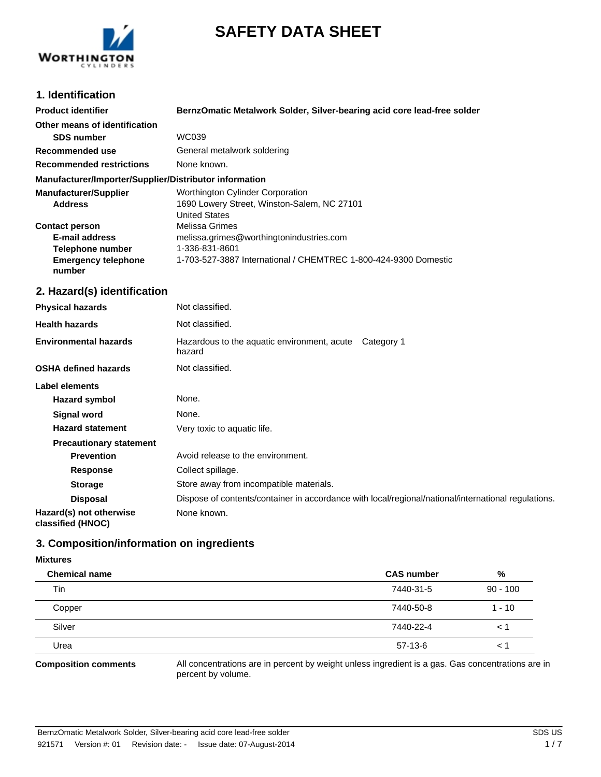



# **1. Identification**

| <b>Product identifier</b>                                                                           | BernzOmatic Metalwork Solder, Silver-bearing acid core lead-free solder                                                                         |
|-----------------------------------------------------------------------------------------------------|-------------------------------------------------------------------------------------------------------------------------------------------------|
| Other means of identification                                                                       |                                                                                                                                                 |
| <b>SDS number</b>                                                                                   | WC039                                                                                                                                           |
| Recommended use                                                                                     | General metalwork soldering                                                                                                                     |
| <b>Recommended restrictions</b>                                                                     | None known.                                                                                                                                     |
| Manufacturer/Importer/Supplier/Distributor information                                              |                                                                                                                                                 |
| <b>Manufacturer/Supplier</b><br><b>Address</b>                                                      | Worthington Cylinder Corporation<br>1690 Lowery Street, Winston-Salem, NC 27101<br><b>United States</b>                                         |
| <b>Contact person</b><br>E-mail address<br>Telephone number<br><b>Emergency telephone</b><br>number | Melissa Grimes<br>melissa.grimes@worthingtonindustries.com<br>1-336-831-8601<br>1-703-527-3887 International / CHEMTREC 1-800-424-9300 Domestic |
| 2. Hazard(s) identification                                                                         |                                                                                                                                                 |
| <b>Physical hazards</b>                                                                             | Not classified.                                                                                                                                 |
| <b>Health hazards</b>                                                                               | Not classified.                                                                                                                                 |
| <b>Environmental hazards</b>                                                                        | Hazardous to the aquatic environment, acute<br>Category 1<br>hazard                                                                             |
| <b>OSHA defined hazards</b>                                                                         | Not classified.                                                                                                                                 |

| Label elements                               |                                                                                                     |
|----------------------------------------------|-----------------------------------------------------------------------------------------------------|
| <b>Hazard symbol</b>                         | None.                                                                                               |
| <b>Signal word</b>                           | None.                                                                                               |
| <b>Hazard statement</b>                      | Very toxic to aquatic life.                                                                         |
| <b>Precautionary statement</b>               |                                                                                                     |
| <b>Prevention</b>                            | Avoid release to the environment.                                                                   |
| <b>Response</b>                              | Collect spillage.                                                                                   |
| <b>Storage</b>                               | Store away from incompatible materials.                                                             |
| <b>Disposal</b>                              | Dispose of contents/container in accordance with local/regional/national/international regulations. |
| Hazard(s) not otherwise<br>classified (HNOC) | None known.                                                                                         |

# **3. Composition/information on ingredients**

#### **Mixtures**

| <b>Chemical name</b> | <b>CAS number</b> | %          |
|----------------------|-------------------|------------|
| Tin                  | 7440-31-5         | $90 - 100$ |
| Copper               | 7440-50-8         | $1 - 10$   |
| Silver               | 7440-22-4         | $\leq$ .   |
| Urea                 | $57-13-6$         |            |

**Composition comments** All concentrations are in percent by weight unless ingredient is a gas. Gas concentrations are in percent by volume.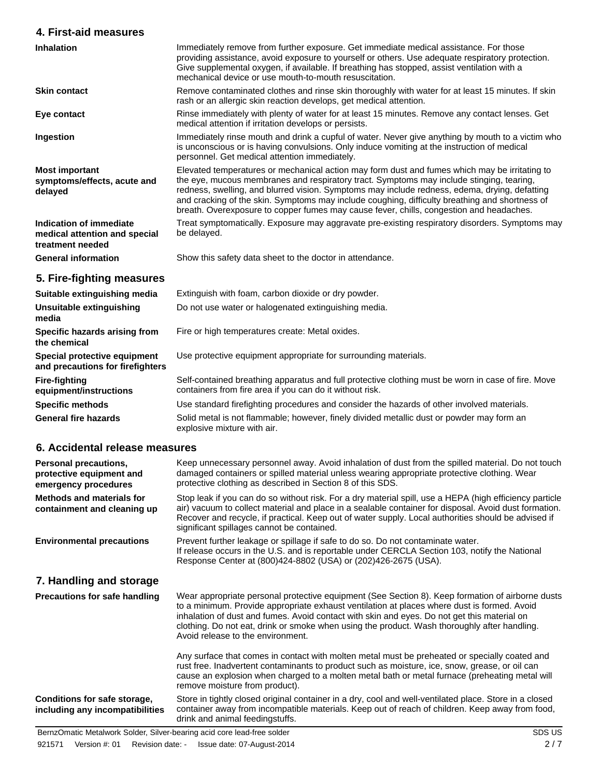| 4. First-aid measures                                                        |                                                                                                                                                                                                                                                                                                                                                                                                                                                                                         |  |
|------------------------------------------------------------------------------|-----------------------------------------------------------------------------------------------------------------------------------------------------------------------------------------------------------------------------------------------------------------------------------------------------------------------------------------------------------------------------------------------------------------------------------------------------------------------------------------|--|
| <b>Inhalation</b>                                                            | Immediately remove from further exposure. Get immediate medical assistance. For those<br>providing assistance, avoid exposure to yourself or others. Use adequate respiratory protection.<br>Give supplemental oxygen, if available. If breathing has stopped, assist ventilation with a<br>mechanical device or use mouth-to-mouth resuscitation.                                                                                                                                      |  |
| <b>Skin contact</b>                                                          | Remove contaminated clothes and rinse skin thoroughly with water for at least 15 minutes. If skin<br>rash or an allergic skin reaction develops, get medical attention.                                                                                                                                                                                                                                                                                                                 |  |
| Eye contact                                                                  | Rinse immediately with plenty of water for at least 15 minutes. Remove any contact lenses. Get<br>medical attention if irritation develops or persists.                                                                                                                                                                                                                                                                                                                                 |  |
| Ingestion                                                                    | Immediately rinse mouth and drink a cupful of water. Never give anything by mouth to a victim who<br>is unconscious or is having convulsions. Only induce vomiting at the instruction of medical<br>personnel. Get medical attention immediately.                                                                                                                                                                                                                                       |  |
| <b>Most important</b><br>symptoms/effects, acute and<br>delayed              | Elevated temperatures or mechanical action may form dust and fumes which may be irritating to<br>the eye, mucous membranes and respiratory tract. Symptoms may include stinging, tearing,<br>redness, swelling, and blurred vision. Symptoms may include redness, edema, drying, defatting<br>and cracking of the skin. Symptoms may include coughing, difficulty breathing and shortness of<br>breath. Overexposure to copper fumes may cause fever, chills, congestion and headaches. |  |
| Indication of immediate<br>medical attention and special<br>treatment needed | Treat symptomatically. Exposure may aggravate pre-existing respiratory disorders. Symptoms may<br>be delayed.                                                                                                                                                                                                                                                                                                                                                                           |  |
| <b>General information</b>                                                   | Show this safety data sheet to the doctor in attendance.                                                                                                                                                                                                                                                                                                                                                                                                                                |  |
| 5. Fire-fighting measures                                                    |                                                                                                                                                                                                                                                                                                                                                                                                                                                                                         |  |
| Suitable extinguishing media                                                 | Extinguish with foam, carbon dioxide or dry powder.                                                                                                                                                                                                                                                                                                                                                                                                                                     |  |
| Unsuitable extinguishing<br>media                                            | Do not use water or halogenated extinguishing media.                                                                                                                                                                                                                                                                                                                                                                                                                                    |  |
| Specific hazards arising from<br>the chemical                                | Fire or high temperatures create: Metal oxides.                                                                                                                                                                                                                                                                                                                                                                                                                                         |  |
| Special protective equipment<br>and precautions for firefighters             | Use protective equipment appropriate for surrounding materials.                                                                                                                                                                                                                                                                                                                                                                                                                         |  |
| <b>Fire-fighting</b><br>equipment/instructions                               | Self-contained breathing apparatus and full protective clothing must be worn in case of fire. Move<br>containers from fire area if you can do it without risk.                                                                                                                                                                                                                                                                                                                          |  |
| <b>Specific methods</b>                                                      | Use standard firefighting procedures and consider the hazards of other involved materials.                                                                                                                                                                                                                                                                                                                                                                                              |  |
| <b>General fire hazards</b>                                                  | Solid metal is not flammable; however, finely divided metallic dust or powder may form an<br>explosive mixture with air.                                                                                                                                                                                                                                                                                                                                                                |  |
| 6. Accidental release measures                                               |                                                                                                                                                                                                                                                                                                                                                                                                                                                                                         |  |
| Personal precautions,<br>protective equipment and<br>emergency procedures    | Keep unnecessary personnel away. Avoid inhalation of dust from the spilled material. Do not touch<br>damaged containers or spilled material unless wearing appropriate protective clothing. Wear<br>protective clothing as described in Section 8 of this SDS.                                                                                                                                                                                                                          |  |
| <b>Methods and materials for</b><br>containment and cleaning up              | Stop leak if you can do so without risk. For a dry material spill, use a HEPA (high efficiency particle<br>air) vacuum to collect material and place in a sealable container for disposal. Avoid dust formation.<br>Recover and recycle, if practical. Keep out of water supply. Local authorities should be advised if<br>significant spillages cannot be contained.                                                                                                                   |  |
| <b>Environmental precautions</b>                                             | Prevent further leakage or spillage if safe to do so. Do not contaminate water.<br>If release occurs in the U.S. and is reportable under CERCLA Section 103, notify the National<br>Response Center at (800)424-8802 (USA) or (202)426-2675 (USA).                                                                                                                                                                                                                                      |  |
| 7. Handling and storage                                                      |                                                                                                                                                                                                                                                                                                                                                                                                                                                                                         |  |
| <b>Precautions for safe handling</b>                                         | Wear appropriate personal protective equipment (See Section 8). Keep formation of airborne dusts<br>to a minimum. Provide appropriate exhaust ventilation at places where dust is formed. Avoid<br>inhalation of dust and fumes. Avoid contact with skin and eyes. Do not get this material on<br>clothing. Do not eat, drink or smoke when using the product. Wash thoroughly after handling.<br>Avoid release to the environment.                                                     |  |

Any surface that comes in contact with molten metal must be preheated or specially coated and rust free. Inadvertent contaminants to product such as moisture, ice, snow, grease, or oil can cause an explosion when charged to a molten metal bath or metal furnace (preheating metal will remove moisture from product).

**Conditions for safe storage, including any incompatibilities**

Store in tightly closed original container in a dry, cool and well-ventilated place. Store in a closed container away from incompatible materials. Keep out of reach of children. Keep away from food, drink and animal feedingstuffs.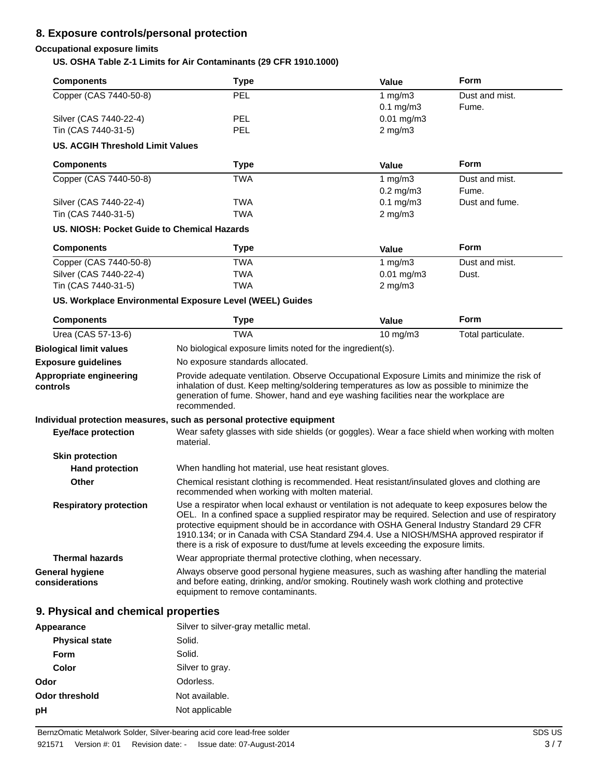# **8. Exposure controls/personal protection**

# **Occupational exposure limits**

# **US. OSHA Table Z-1 Limits for Air Contaminants (29 CFR 1910.1000)**

| <b>Components</b>                           | <b>Type</b>                                                                                                                                                                                                                                                                                                                                                                                                                                                                   | <b>Value</b>         | <b>Form</b>        |
|---------------------------------------------|-------------------------------------------------------------------------------------------------------------------------------------------------------------------------------------------------------------------------------------------------------------------------------------------------------------------------------------------------------------------------------------------------------------------------------------------------------------------------------|----------------------|--------------------|
| Copper (CAS 7440-50-8)                      | PEL                                                                                                                                                                                                                                                                                                                                                                                                                                                                           | 1 $mg/m3$            | Dust and mist.     |
|                                             |                                                                                                                                                                                                                                                                                                                                                                                                                                                                               | $0.1 \text{ mg/m}$ 3 | Fume.              |
| Silver (CAS 7440-22-4)                      | <b>PEL</b>                                                                                                                                                                                                                                                                                                                                                                                                                                                                    | $0.01$ mg/m3         |                    |
| Tin (CAS 7440-31-5)                         | <b>PEL</b>                                                                                                                                                                                                                                                                                                                                                                                                                                                                    | $2$ mg/m $3$         |                    |
| <b>US. ACGIH Threshold Limit Values</b>     |                                                                                                                                                                                                                                                                                                                                                                                                                                                                               |                      |                    |
| <b>Components</b>                           | <b>Type</b>                                                                                                                                                                                                                                                                                                                                                                                                                                                                   | <b>Value</b>         | Form               |
| Copper (CAS 7440-50-8)                      | <b>TWA</b>                                                                                                                                                                                                                                                                                                                                                                                                                                                                    | 1 $mg/m3$            | Dust and mist.     |
|                                             |                                                                                                                                                                                                                                                                                                                                                                                                                                                                               | $0.2$ mg/m $3$       | Fume.              |
| Silver (CAS 7440-22-4)                      | <b>TWA</b>                                                                                                                                                                                                                                                                                                                                                                                                                                                                    | $0.1$ mg/m $3$       | Dust and fume.     |
| Tin (CAS 7440-31-5)                         | <b>TWA</b>                                                                                                                                                                                                                                                                                                                                                                                                                                                                    | $2$ mg/m $3$         |                    |
| US. NIOSH: Pocket Guide to Chemical Hazards |                                                                                                                                                                                                                                                                                                                                                                                                                                                                               |                      |                    |
| <b>Components</b>                           | <b>Type</b>                                                                                                                                                                                                                                                                                                                                                                                                                                                                   | <b>Value</b>         | <b>Form</b>        |
| Copper (CAS 7440-50-8)                      | <b>TWA</b>                                                                                                                                                                                                                                                                                                                                                                                                                                                                    | 1 mg/m $3$           | Dust and mist.     |
| Silver (CAS 7440-22-4)                      | <b>TWA</b>                                                                                                                                                                                                                                                                                                                                                                                                                                                                    | $0.01$ mg/m $3$      | Dust.              |
| Tin (CAS 7440-31-5)                         | <b>TWA</b>                                                                                                                                                                                                                                                                                                                                                                                                                                                                    | $2$ mg/m $3$         |                    |
|                                             | US. Workplace Environmental Exposure Level (WEEL) Guides                                                                                                                                                                                                                                                                                                                                                                                                                      |                      |                    |
| <b>Components</b>                           | Type                                                                                                                                                                                                                                                                                                                                                                                                                                                                          | <b>Value</b>         | <b>Form</b>        |
| Urea (CAS 57-13-6)                          | <b>TWA</b>                                                                                                                                                                                                                                                                                                                                                                                                                                                                    | 10 mg/m3             | Total particulate. |
| <b>Biological limit values</b>              | No biological exposure limits noted for the ingredient(s).                                                                                                                                                                                                                                                                                                                                                                                                                    |                      |                    |
| <b>Exposure guidelines</b>                  | No exposure standards allocated.                                                                                                                                                                                                                                                                                                                                                                                                                                              |                      |                    |
| Appropriate engineering<br>controls         | Provide adequate ventilation. Observe Occupational Exposure Limits and minimize the risk of<br>inhalation of dust. Keep melting/soldering temperatures as low as possible to minimize the<br>generation of fume. Shower, hand and eye washing facilities near the workplace are<br>recommended.                                                                                                                                                                               |                      |                    |
| <b>Eye/face protection</b>                  | Individual protection measures, such as personal protective equipment<br>Wear safety glasses with side shields (or goggles). Wear a face shield when working with molten<br>material.                                                                                                                                                                                                                                                                                         |                      |                    |
| <b>Skin protection</b>                      |                                                                                                                                                                                                                                                                                                                                                                                                                                                                               |                      |                    |
| <b>Hand protection</b>                      | When handling hot material, use heat resistant gloves.                                                                                                                                                                                                                                                                                                                                                                                                                        |                      |                    |
| Other                                       | Chemical resistant clothing is recommended. Heat resistant/insulated gloves and clothing are<br>recommended when working with molten material.                                                                                                                                                                                                                                                                                                                                |                      |                    |
| <b>Respiratory protection</b>               | Use a respirator when local exhaust or ventilation is not adequate to keep exposures below the<br>OEL. In a confined space a supplied respirator may be required. Selection and use of respiratory<br>protective equipment should be in accordance with OSHA General Industry Standard 29 CFR<br>1910.134; or in Canada with CSA Standard Z94.4. Use a NIOSH/MSHA approved respirator if<br>there is a risk of exposure to dust/fume at levels exceeding the exposure limits. |                      |                    |
|                                             |                                                                                                                                                                                                                                                                                                                                                                                                                                                                               |                      |                    |
| <b>Thermal hazards</b>                      | Wear appropriate thermal protective clothing, when necessary.                                                                                                                                                                                                                                                                                                                                                                                                                 |                      |                    |

| Silver to silver-gray metallic metal. |
|---------------------------------------|
| Solid.                                |
| Solid.                                |
| Silver to gray.                       |
| Odorless.                             |
| Not available.                        |
| Not applicable                        |
|                                       |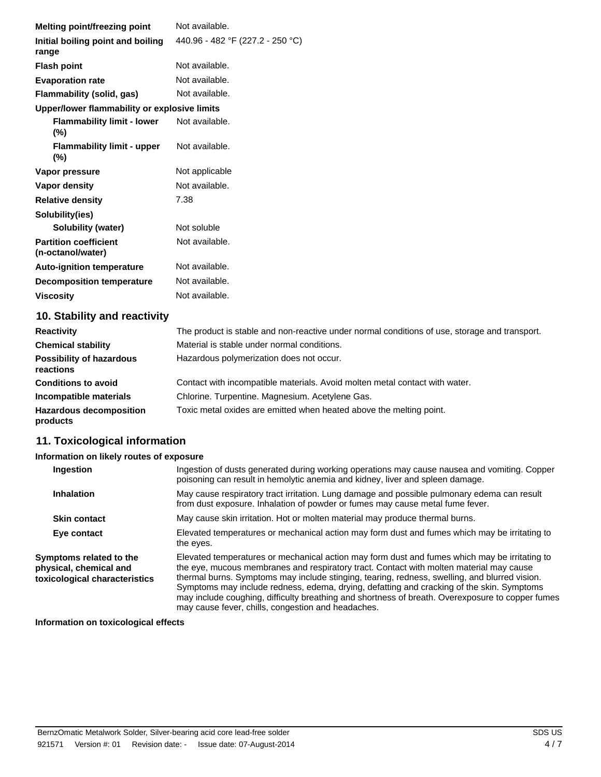| Not available.<br>Melting point/freezing point<br>440.96 - 482 °F (227.2 - 250 °C)<br>Initial boiling point and boiling<br>range<br>Not available.<br><b>Flash point</b><br>Not available.<br><b>Evaporation rate</b><br>Not available.<br>Flammability (solid, gas)<br>Upper/lower flammability or explosive limits<br>Not available.<br><b>Flammability limit - lower</b><br>$(\%)$<br>Not available.<br><b>Flammability limit - upper</b><br>(%)<br>Not applicable<br>Vapor pressure<br>Not available.<br>Vapor density<br>7.38<br><b>Relative density</b><br>Solubility(ies)<br>Not soluble<br>Solubility (water) |                                  |                |
|-----------------------------------------------------------------------------------------------------------------------------------------------------------------------------------------------------------------------------------------------------------------------------------------------------------------------------------------------------------------------------------------------------------------------------------------------------------------------------------------------------------------------------------------------------------------------------------------------------------------------|----------------------------------|----------------|
|                                                                                                                                                                                                                                                                                                                                                                                                                                                                                                                                                                                                                       |                                  |                |
|                                                                                                                                                                                                                                                                                                                                                                                                                                                                                                                                                                                                                       |                                  |                |
|                                                                                                                                                                                                                                                                                                                                                                                                                                                                                                                                                                                                                       |                                  |                |
|                                                                                                                                                                                                                                                                                                                                                                                                                                                                                                                                                                                                                       |                                  |                |
|                                                                                                                                                                                                                                                                                                                                                                                                                                                                                                                                                                                                                       |                                  |                |
|                                                                                                                                                                                                                                                                                                                                                                                                                                                                                                                                                                                                                       |                                  |                |
|                                                                                                                                                                                                                                                                                                                                                                                                                                                                                                                                                                                                                       |                                  |                |
|                                                                                                                                                                                                                                                                                                                                                                                                                                                                                                                                                                                                                       |                                  |                |
|                                                                                                                                                                                                                                                                                                                                                                                                                                                                                                                                                                                                                       |                                  |                |
|                                                                                                                                                                                                                                                                                                                                                                                                                                                                                                                                                                                                                       |                                  |                |
|                                                                                                                                                                                                                                                                                                                                                                                                                                                                                                                                                                                                                       |                                  |                |
|                                                                                                                                                                                                                                                                                                                                                                                                                                                                                                                                                                                                                       |                                  |                |
|                                                                                                                                                                                                                                                                                                                                                                                                                                                                                                                                                                                                                       |                                  |                |
| Not available.<br><b>Partition coefficient</b><br>(n-octanol/water)                                                                                                                                                                                                                                                                                                                                                                                                                                                                                                                                                   |                                  |                |
| Not available.<br><b>Auto-ignition temperature</b>                                                                                                                                                                                                                                                                                                                                                                                                                                                                                                                                                                    |                                  |                |
|                                                                                                                                                                                                                                                                                                                                                                                                                                                                                                                                                                                                                       | <b>Decomposition temperature</b> | Not available. |
|                                                                                                                                                                                                                                                                                                                                                                                                                                                                                                                                                                                                                       | <b>Viscosity</b>                 | Not available. |
|                                                                                                                                                                                                                                                                                                                                                                                                                                                                                                                                                                                                                       |                                  |                |

# **10. Stability and reactivity**

| <b>Reactivity</b>                            | The product is stable and non-reactive under normal conditions of use, storage and transport. |
|----------------------------------------------|-----------------------------------------------------------------------------------------------|
| <b>Chemical stability</b>                    | Material is stable under normal conditions.                                                   |
| <b>Possibility of hazardous</b><br>reactions | Hazardous polymerization does not occur.                                                      |
| <b>Conditions to avoid</b>                   | Contact with incompatible materials. Avoid molten metal contact with water.                   |
| Incompatible materials                       | Chlorine. Turpentine. Magnesium. Acetylene Gas.                                               |
| <b>Hazardous decomposition</b><br>products   | Toxic metal oxides are emitted when heated above the melting point.                           |

# **11. Toxicological information**

## **Information on likely routes of exposure**

| Ingestion                                                                          | Ingestion of dusts generated during working operations may cause nausea and vomiting. Copper<br>poisoning can result in hemolytic anemia and kidney, liver and spleen damage.                                                                                                                                                                                                                                                                                                                                                                    |
|------------------------------------------------------------------------------------|--------------------------------------------------------------------------------------------------------------------------------------------------------------------------------------------------------------------------------------------------------------------------------------------------------------------------------------------------------------------------------------------------------------------------------------------------------------------------------------------------------------------------------------------------|
| <b>Inhalation</b>                                                                  | May cause respiratory tract irritation. Lung damage and possible pulmonary edema can result<br>from dust exposure. Inhalation of powder or fumes may cause metal fume fever.                                                                                                                                                                                                                                                                                                                                                                     |
| <b>Skin contact</b>                                                                | May cause skin irritation. Hot or molten material may produce thermal burns.                                                                                                                                                                                                                                                                                                                                                                                                                                                                     |
| Eye contact                                                                        | Elevated temperatures or mechanical action may form dust and fumes which may be irritating to<br>the eyes.                                                                                                                                                                                                                                                                                                                                                                                                                                       |
| Symptoms related to the<br>physical, chemical and<br>toxicological characteristics | Elevated temperatures or mechanical action may form dust and fumes which may be irritating to<br>the eye, mucous membranes and respiratory tract. Contact with molten material may cause<br>thermal burns. Symptoms may include stinging, tearing, redness, swelling, and blurred vision.<br>Symptoms may include redness, edema, drying, defatting and cracking of the skin. Symptoms<br>may include coughing, difficulty breathing and shortness of breath. Overexposure to copper fumes<br>may cause fever, chills, congestion and headaches. |

## **Information on toxicological effects**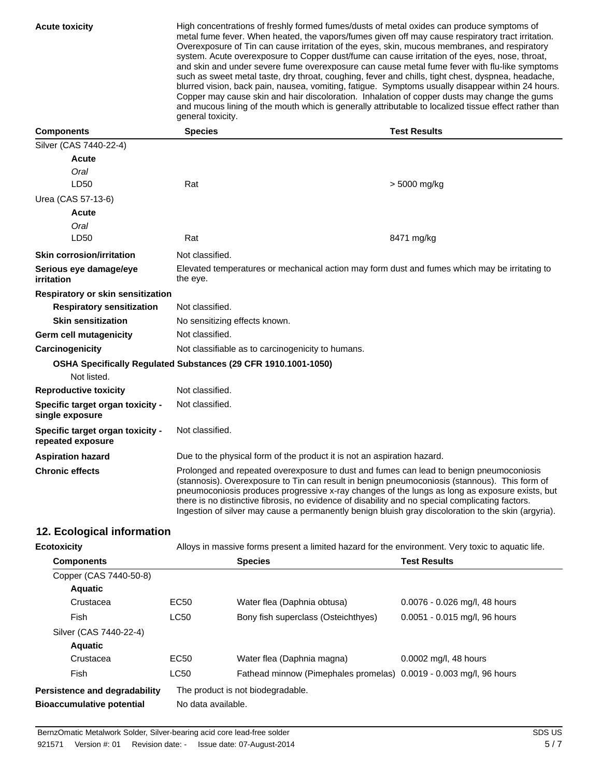**Acute toxicity** High concentrations of freshly formed fumes/dusts of metal oxides can produce symptoms of metal fume fever. When heated, the vapors/fumes given off may cause respiratory tract irritation. Overexposure of Tin can cause irritation of the eyes, skin, mucous membranes, and respiratory system. Acute overexposure to Copper dust/fume can cause irritation of the eyes, nose, throat, and skin and under severe fume overexposure can cause metal fume fever with flu-like symptoms such as sweet metal taste, dry throat, coughing, fever and chills, tight chest, dyspnea, headache, blurred vision, back pain, nausea, vomiting, fatigue. Symptoms usually disappear within 24 hours. Copper may cause skin and hair discoloration. Inhalation of copper dusts may change the gums and mucous lining of the mouth which is generally attributable to localized tissue effect rather than general toxicity.

| <b>Components</b>                                     | <b>Species</b>                                                                                                                                                                                                                                                                                                                                                                                                                                                                                        | <b>Test Results</b> |
|-------------------------------------------------------|-------------------------------------------------------------------------------------------------------------------------------------------------------------------------------------------------------------------------------------------------------------------------------------------------------------------------------------------------------------------------------------------------------------------------------------------------------------------------------------------------------|---------------------|
| Silver (CAS 7440-22-4)                                |                                                                                                                                                                                                                                                                                                                                                                                                                                                                                                       |                     |
| Acute                                                 |                                                                                                                                                                                                                                                                                                                                                                                                                                                                                                       |                     |
| Oral                                                  |                                                                                                                                                                                                                                                                                                                                                                                                                                                                                                       |                     |
| LD50                                                  | Rat                                                                                                                                                                                                                                                                                                                                                                                                                                                                                                   | > 5000 mg/kg        |
| Urea (CAS 57-13-6)                                    |                                                                                                                                                                                                                                                                                                                                                                                                                                                                                                       |                     |
| Acute                                                 |                                                                                                                                                                                                                                                                                                                                                                                                                                                                                                       |                     |
| Oral                                                  |                                                                                                                                                                                                                                                                                                                                                                                                                                                                                                       |                     |
| LD50                                                  | Rat                                                                                                                                                                                                                                                                                                                                                                                                                                                                                                   | 8471 mg/kg          |
| <b>Skin corrosion/irritation</b>                      | Not classified.                                                                                                                                                                                                                                                                                                                                                                                                                                                                                       |                     |
| Serious eye damage/eye<br>irritation                  | Elevated temperatures or mechanical action may form dust and fumes which may be irritating to<br>the eye.                                                                                                                                                                                                                                                                                                                                                                                             |                     |
| Respiratory or skin sensitization                     |                                                                                                                                                                                                                                                                                                                                                                                                                                                                                                       |                     |
| <b>Respiratory sensitization</b>                      | Not classified.                                                                                                                                                                                                                                                                                                                                                                                                                                                                                       |                     |
| <b>Skin sensitization</b>                             | No sensitizing effects known.                                                                                                                                                                                                                                                                                                                                                                                                                                                                         |                     |
| Germ cell mutagenicity                                | Not classified.                                                                                                                                                                                                                                                                                                                                                                                                                                                                                       |                     |
| Carcinogenicity                                       | Not classifiable as to carcinogenicity to humans.                                                                                                                                                                                                                                                                                                                                                                                                                                                     |                     |
|                                                       | OSHA Specifically Regulated Substances (29 CFR 1910.1001-1050)                                                                                                                                                                                                                                                                                                                                                                                                                                        |                     |
| Not listed.                                           |                                                                                                                                                                                                                                                                                                                                                                                                                                                                                                       |                     |
| <b>Reproductive toxicity</b>                          | Not classified.                                                                                                                                                                                                                                                                                                                                                                                                                                                                                       |                     |
| Specific target organ toxicity -<br>single exposure   | Not classified.                                                                                                                                                                                                                                                                                                                                                                                                                                                                                       |                     |
| Specific target organ toxicity -<br>repeated exposure | Not classified.                                                                                                                                                                                                                                                                                                                                                                                                                                                                                       |                     |
| <b>Aspiration hazard</b>                              | Due to the physical form of the product it is not an aspiration hazard.                                                                                                                                                                                                                                                                                                                                                                                                                               |                     |
| <b>Chronic effects</b>                                | Prolonged and repeated overexposure to dust and fumes can lead to benign pneumoconiosis<br>(stannosis). Overexposure to Tin can result in benign pneumoconiosis (stannous). This form of<br>pneumoconiosis produces progressive x-ray changes of the lungs as long as exposure exists, but<br>there is no distinctive fibrosis, no evidence of disability and no special complicating factors.<br>Ingestion of silver may cause a permanently benign bluish gray discoloration to the skin (argyria). |                     |

# **12. Ecological information**

| <b>Ecotoxicity</b>               |                    | Alloys in massive forms present a limited hazard for the environment. Very toxic to aquatic life. |                               |
|----------------------------------|--------------------|---------------------------------------------------------------------------------------------------|-------------------------------|
| <b>Components</b>                |                    | <b>Species</b>                                                                                    | <b>Test Results</b>           |
| Copper (CAS 7440-50-8)           |                    |                                                                                                   |                               |
| <b>Aquatic</b>                   |                    |                                                                                                   |                               |
| Crustacea                        | EC <sub>50</sub>   | Water flea (Daphnia obtusa)                                                                       | 0.0076 - 0.026 mg/l, 48 hours |
| Fish                             | <b>LC50</b>        | Bony fish superclass (Osteichthyes)                                                               | 0.0051 - 0.015 mg/l, 96 hours |
| Silver (CAS 7440-22-4)           |                    |                                                                                                   |                               |
| <b>Aquatic</b>                   |                    |                                                                                                   |                               |
| Crustacea                        | EC50               | Water flea (Daphnia magna)                                                                        | 0.0002 mg/l, 48 hours         |
| Fish                             | <b>LC50</b>        | Fathead minnow (Pimephales promelas) 0.0019 - 0.003 mg/l, 96 hours                                |                               |
| Persistence and degradability    |                    | The product is not biodegradable.                                                                 |                               |
| <b>Bioaccumulative potential</b> | No data available. |                                                                                                   |                               |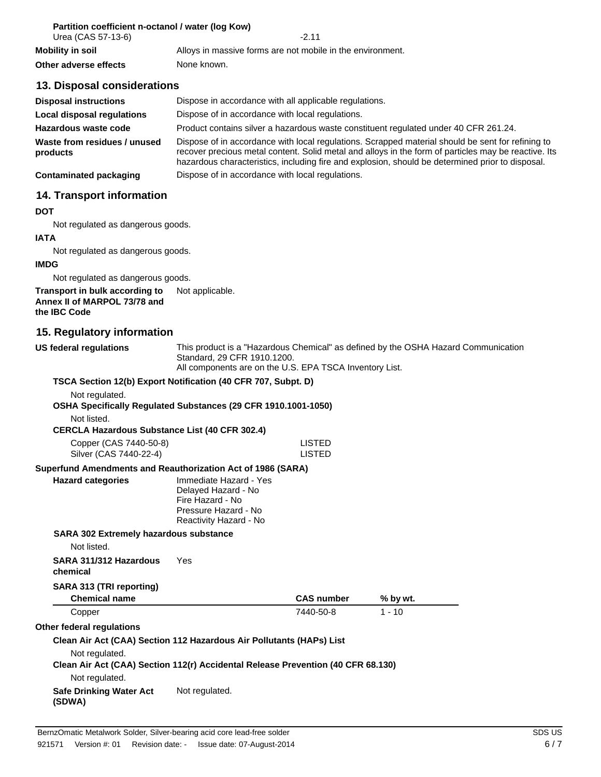| Partition coefficient n-octanol / water (log Kow) |  |
|---------------------------------------------------|--|
|---------------------------------------------------|--|

| Urea (CAS 57-13-6)    | -2 11                                                      |
|-----------------------|------------------------------------------------------------|
| Mobility in soil      | Alloys in massive forms are not mobile in the environment. |
| Other adverse effects | None known.                                                |

# **13. Disposal considerations**

| <b>Disposal instructions</b>             | Dispose in accordance with all applicable regulations.                                                                                                                                                                                                                                                        |
|------------------------------------------|---------------------------------------------------------------------------------------------------------------------------------------------------------------------------------------------------------------------------------------------------------------------------------------------------------------|
| Local disposal regulations               | Dispose of in accordance with local regulations.                                                                                                                                                                                                                                                              |
| Hazardous waste code                     | Product contains silver a hazardous waste constituent regulated under 40 CFR 261.24.                                                                                                                                                                                                                          |
| Waste from residues / unused<br>products | Dispose of in accordance with local regulations. Scrapped material should be sent for refining to<br>recover precious metal content. Solid metal and alloys in the form of particles may be reactive. Its<br>hazardous characteristics, including fire and explosion, should be determined prior to disposal. |
| <b>Contaminated packaging</b>            | Dispose of in accordance with local regulations.                                                                                                                                                                                                                                                              |

## **14. Transport information**

#### **DOT**

Not regulated as dangerous goods.

#### **IATA**

Not regulated as dangerous goods.

#### **IMDG**

Not regulated as dangerous goods.

#### **Transport in bulk according to** Not applicable. **Annex II of MARPOL 73/78 and the IBC Code**

# **15. Regulatory information**

**US federal regulations** This product is a "Hazardous Chemical" as defined by the OSHA Hazard Communication Standard, 29 CFR 1910.1200. All components are on the U.S. EPA TSCA Inventory List. **TSCA Section 12(b) Export Notification (40 CFR 707, Subpt. D)** Not regulated. **OSHA Specifically Regulated Substances (29 CFR 1910.1001-1050)** Not listed. **CERCLA Hazardous Substance List (40 CFR 302.4)** Copper (CAS 7440-50-8) LISTED Silver (CAS 7440-22-4) LISTED **Superfund Amendments and Reauthorization Act of 1986 (SARA) Hazard categories** Immediate Hazard - Yes Delayed Hazard - No Fire Hazard - No Pressure Hazard - No Reactivity Hazard - No **SARA 302 Extremely hazardous substance** Not listed. **SARA 311/312 Hazardous chemical** Yes **SARA 313 (TRI reporting) Chemical name CAS number % by wt.** Copper 7440-50-8 1 - 10 **Other federal regulations Clean Air Act (CAA) Section 112 Hazardous Air Pollutants (HAPs) List** Not regulated. **Clean Air Act (CAA) Section 112(r) Accidental Release Prevention (40 CFR 68.130)** Not regulated. **Safe Drinking Water Act (SDWA)** Not regulated.